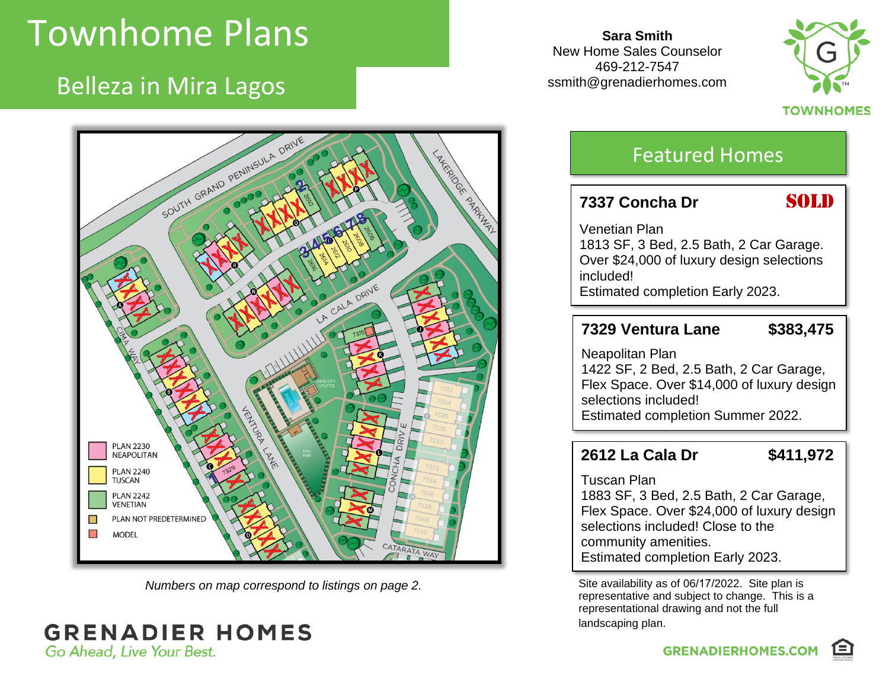# Townhome Plans

Belleza in Mira Lagos

**Sara Smith** New Home Sales Counselor 469-212-7547 ssmith@grenadierhomes.com





*Numbers on map correspond to listings on page 2.*

#### **GRENADIER HOMES** Go Ahead, Live Your Best.

### Featured Homes

#### **7337** Concha Dr **SOLD**

Venetian Plan 1813 SF, 3 Bed, 2.5 Bath, 2 Car Garage. Over \$24,000 of luxury design selections included! Estimated completion Early 2023.

#### **7329 Ventura Lane \$383,475**

Neapolitan Plan 1422 SF, 2 Bed, 2.5 Bath, 2 Car Garage, Flex Space. Over \$14,000 of luxury design selections included! Estimated completion Summer 2022.

#### **2612 La Cala Dr \$411,972**

Tuscan Plan

1883 SF, 3 Bed, 2.5 Bath, 2 Car Garage, Flex Space. Over \$24,000 of luxury design selections included! Close to the community amenities. Estimated completion Early 2023.

Site availability as of 06/17/2022. Site plan is representative and subject to change. This is a representational drawing and not the full landscaping plan.